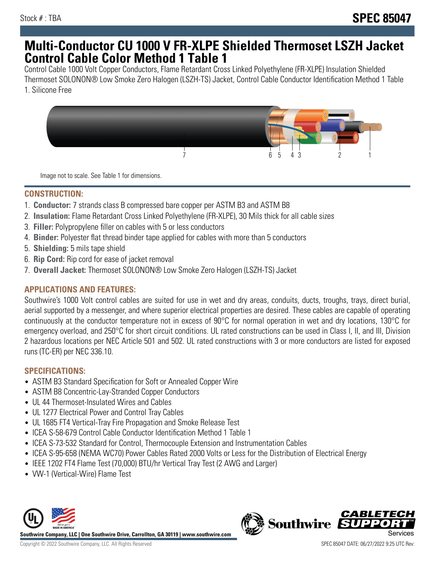## **Multi-Conductor CU 1000 V FR-XLPE Shielded Thermoset LSZH Jacket Control Cable Color Method 1 Table 1**

Control Cable 1000 Volt Copper Conductors, Flame Retardant Cross Linked Polyethylene (FR-XLPE) Insulation Shielded Thermoset SOLONON® Low Smoke Zero Halogen (LSZH-TS) Jacket, Control Cable Conductor Identification Method 1 Table 1. Silicone Free



Image not to scale. See Table 1 for dimensions.

#### **CONSTRUCTION:**

- 1. **Conductor:** 7 strands class B compressed bare copper per ASTM B3 and ASTM B8
- 2. **Insulation:** Flame Retardant Cross Linked Polyethylene (FR-XLPE), 30 Mils thick for all cable sizes
- 3. **Filler:** Polypropylene filler on cables with 5 or less conductors
- 4. **Binder:** Polyester flat thread binder tape applied for cables with more than 5 conductors
- 5. **Shielding:** 5 mils tape shield
- 6. **Rip Cord:** Rip cord for ease of jacket removal
- 7. **Overall Jacket:** Thermoset SOLONON® Low Smoke Zero Halogen (LSZH-TS) Jacket

#### **APPLICATIONS AND FEATURES:**

Southwire's 1000 Volt control cables are suited for use in wet and dry areas, conduits, ducts, troughs, trays, direct burial, aerial supported by a messenger, and where superior electrical properties are desired. These cables are capable of operating continuously at the conductor temperature not in excess of 90°C for normal operation in wet and dry locations, 130°C for emergency overload, and 250°C for short circuit conditions. UL rated constructions can be used in Class I, II, and III, Division 2 hazardous locations per NEC Article 501 and 502. UL rated constructions with 3 or more conductors are listed for exposed runs (TC-ER) per NEC 336.10.

### **SPECIFICATIONS:**

- ASTM B3 Standard Specification for Soft or Annealed Copper Wire
- ASTM B8 Concentric-Lay-Stranded Copper Conductors
- UL 44 Thermoset-Insulated Wires and Cables
- UL 1277 Electrical Power and Control Tray Cables
- UL 1685 FT4 Vertical-Tray Fire Propagation and Smoke Release Test
- ICEA S-58-679 Control Cable Conductor Identification Method 1 Table 1
- ICEA S-73-532 Standard for Control, Thermocouple Extension and Instrumentation Cables
- ICEA S-95-658 (NEMA WC70) Power Cables Rated 2000 Volts or Less for the Distribution of Electrical Energy
- IEEE 1202 FT4 Flame Test (70,000) BTU/hr Vertical Tray Test (2 AWG and Larger)
- VW-1 (Vertical-Wire) Flame Test



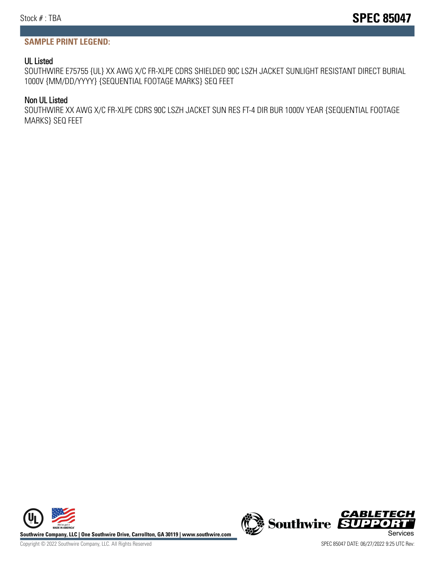#### **SAMPLE PRINT LEGEND:**

#### UL Listed

SOUTHWIRE E75755 {UL} XX AWG X/C FR-XLPE CDRS SHIELDED 90C LSZH JACKET SUNLIGHT RESISTANT DIRECT BURIAL 1000V {MM/DD/YYYY} {SEQUENTIAL FOOTAGE MARKS} SEQ FEET

#### Non UL Listed

SOUTHWIRE XX AWG X/C FR-XLPE CDRS 90C LSZH JACKET SUN RES FT-4 DIR BUR 1000V YEAR {SEQUENTIAL FOOTAGE MARKS} SEQ FEET